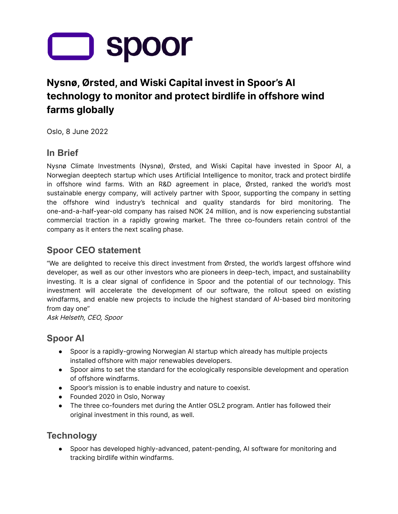

# **Nysnø, Ørsted, and Wiski Capital invest in Spoor's AI technology to monitor and protect birdlife in offshore wind farms globally**

Oslo, 8 June 2022

# **In Brief**

Nysnø Climate Investments (Nysnø), Ørsted, and Wiski Capital have invested in Spoor AI, a Norwegian deeptech startup which uses Artificial Intelligence to monitor, track and protect birdlife in offshore wind farms. With an R&D agreement in place, Ørsted, ranked the world's most sustainable energy company, will actively partner with Spoor, supporting the company in setting the offshore wind industry's technical and quality standards for bird monitoring. The one-and-a-half-year-old company has raised NOK 24 million, and is now experiencing substantial commercial traction in a rapidly growing market. The three co-founders retain control of the company as it enters the next scaling phase.

# **Spoor CEO statement**

"We are delighted to receive this direct investment from Ørsted, the world's largest offshore wind developer, as well as our other investors who are pioneers in deep-tech, impact, and sustainability investing. It is a clear signal of confidence in Spoor and the potential of our technology. This investment will accelerate the development of our software, the rollout speed on existing windfarms, and enable new projects to include the highest standard of AI-based bird monitoring from day one"

Ask Helseth, CEO, Spoor

# **Spoor AI**

- Spoor is a rapidly-growing Norwegian AI startup which already has multiple projects installed offshore with major renewables developers.
- Spoor aims to set the standard for the ecologically responsible development and operation of offshore windfarms.
- Spoor's mission is to enable industry and nature to coexist.
- Founded 2020 in Oslo, Norway
- The three co-founders met during the Antler OSL2 program. Antler has followed their original investment in this round, as well.

#### **Technology**

● Spoor has developed highly-advanced, patent-pending, AI software for monitoring and tracking birdlife within windfarms.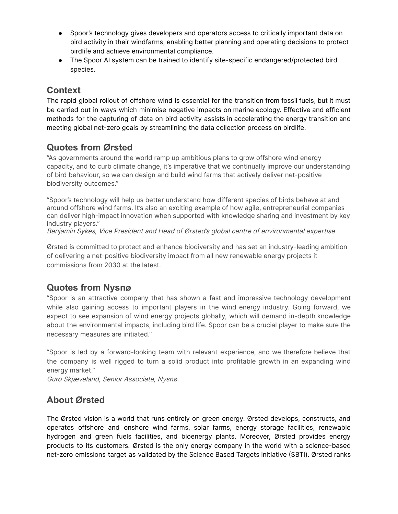- Spoor's technology gives developers and operators access to critically important data on bird activity in their windfarms, enabling better planning and operating decisions to protect birdlife and achieve environmental compliance.
- The Spoor AI system can be trained to identify site-specific endangered/protected bird species.

# **Context**

The rapid global rollout of offshore wind is essential for the transition from fossil fuels, but it must be carried out in ways which minimise negative impacts on marine ecology. Effective and efficient methods for the capturing of data on bird activity assists in accelerating the energy transition and meeting global net-zero goals by streamlining the data collection process on birdlife.

# **Quotes from Ørsted**

"As governments around the world ramp up ambitious plans to grow offshore wind energy capacity, and to curb climate change, it's imperative that we continually improve our understanding of bird behaviour, so we can design and build wind farms that actively deliver net-positive biodiversity outcomes."

"Spoor's technology will help us better understand how different species of birds behave at and around offshore wind farms. It's also an exciting example of how agile, entrepreneurial companies can deliver high-impact innovation when supported with knowledge sharing and investment by key industry players."

Benjamin Sykes, Vice President and Head of Ørsted's global centre of environmental expertise

Ørsted is committed to protect and enhance biodiversity and has set an industry-leading ambition of delivering a net-positive biodiversity impact from all new renewable energy projects it commissions from 2030 at the latest.

#### **Quotes from Nysnø**

"Spoor is an attractive company that has shown a fast and impressive technology development while also gaining access to important players in the wind energy industry. Going forward, we expect to see expansion of wind energy projects globally, which will demand in-depth knowledge about the environmental impacts, including bird life. Spoor can be a crucial player to make sure the necessary measures are initiated."

"Spoor is led by a forward-looking team with relevant experience, and we therefore believe that the company is well rigged to turn a solid product into profitable growth in an expanding wind energy market."

Guro Skjæveland, Senior Associate, Nysnø.

#### **About Ørsted**

The Ørsted vision is a world that runs entirely on green energy. Ørsted develops, constructs, and operates offshore and onshore wind farms, solar farms, energy storage facilities, renewable hydrogen and green fuels facilities, and bioenergy plants. Moreover, Ørsted provides energy products to its customers. Ørsted is the only energy company in the world with a science-based net-zero emissions target as validated by the Science Based Targets initiative (SBTi). Ørsted ranks